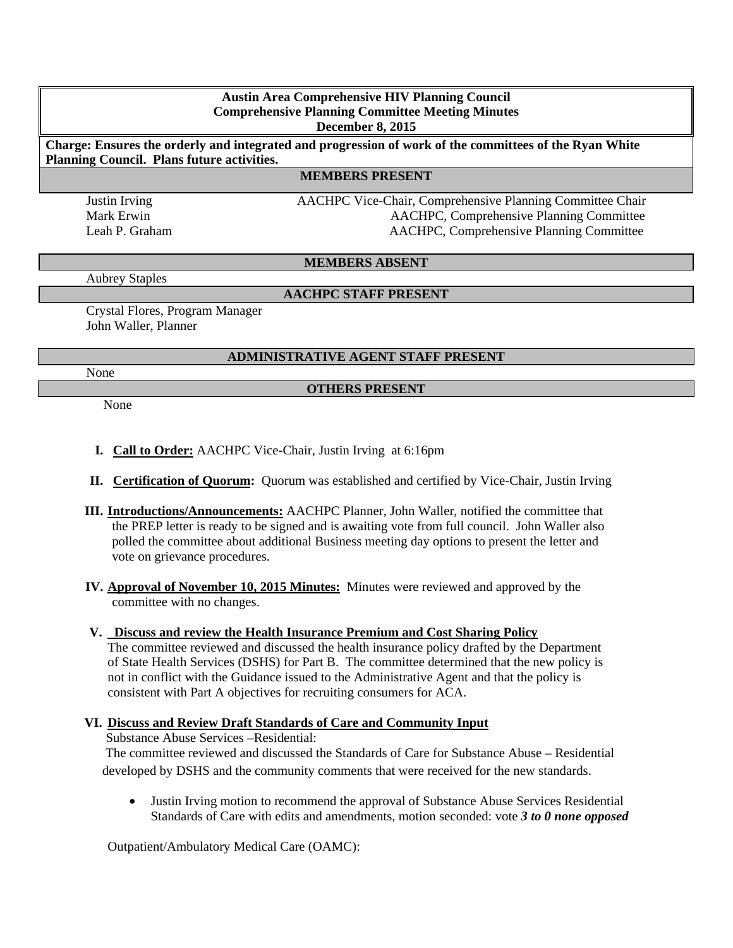#### **Austin Area Comprehensive HIV Planning Council Comprehensive Planning Committee Meeting Minutes December 8, 2015**

**Charge: Ensures the orderly and integrated and progression of work of the committees of the Ryan White Planning Council. Plans future activities.**

#### **MEMBERS PRESENT**

Justin Irving AACHPC Vice-Chair, Comprehensive Planning Committee Chair Mark Erwin AACHPC, Comprehensive Planning Committee Leah P. Graham AACHPC, Comprehensive Planning Committee

#### **MEMBERS ABSENT**

Aubrey Staples

## **AACHPC STAFF PRESENT**

Crystal Flores, Program Manager John Waller, Planner

## **ADMINISTRATIVE AGENT STAFF PRESENT**

None

# **OTHERS PRESENT**

None

- **I. Call to Order:** AACHPC Vice-Chair, Justin Irving at 6:16pm
- **II. Certification of Quorum:** Quorum was established and certified by Vice-Chair, Justin Irving
- **III. Introductions/Announcements:** AACHPC Planner, John Waller, notified the committee that the PREP letter is ready to be signed and is awaiting vote from full council. John Waller also polled the committee about additional Business meeting day options to present the letter and vote on grievance procedures.
- **IV. Approval of November 10, 2015 Minutes:**Minutes were reviewed and approved by the committee with no changes.

## **V. Discuss and review the Health Insurance Premium and Cost Sharing Policy**

The committee reviewed and discussed the health insurance policy drafted by the Department of State Health Services (DSHS) for Part B. The committee determined that the new policy is not in conflict with the Guidance issued to the Administrative Agent and that the policy is consistent with Part A objectives for recruiting consumers for ACA.

## **VI. Discuss and Review Draft Standards of Care and Community Input**

Substance Abuse Services –Residential:

 The committee reviewed and discussed the Standards of Care for Substance Abuse – Residential developed by DSHS and the community comments that were received for the new standards.

• Justin Irving motion to recommend the approval of Substance Abuse Services Residential Standards of Care with edits and amendments, motion seconded: vote *3 to 0 none opposed* 

Outpatient/Ambulatory Medical Care (OAMC):